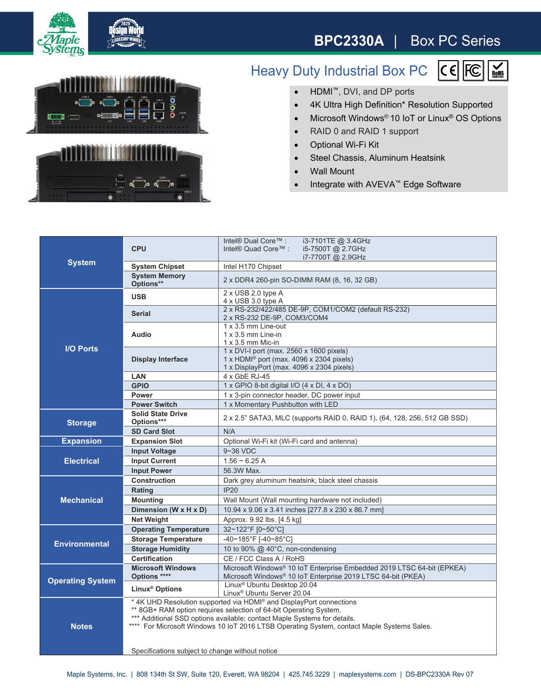

## **BPC2330A** | Box PC Series

 $\sum_{\text{B} \text{OHS}}$ 





## Heavy Duty Industrial Box PC  $|C \in |E \cap E|$

- HDMI™, DVI, and DP ports
- 4K Ultra High Definition\* Resolution Supported
- Microsoft Windows<sup>®</sup> 10 IoT or Linux<sup>®</sup> OS Options
- RAID 0 and RAID 1 support
- Optional Wi-Fi Kit
- Steel Chassis, Aluminum Heatsink
- Wall Mount
- Integrate with AVEVA™ Edge Software

| <b>System</b>           |                                                                                                                                                                                                                                                                                                                    | Intel® Dual Core™ :<br>i3-7101TE @ 3.4GHz                                                                                                     |
|-------------------------|--------------------------------------------------------------------------------------------------------------------------------------------------------------------------------------------------------------------------------------------------------------------------------------------------------------------|-----------------------------------------------------------------------------------------------------------------------------------------------|
|                         | <b>CPU</b>                                                                                                                                                                                                                                                                                                         | Intel® Quad Core™ :<br>i5-7500T @ 2.7GHz<br>i7-7700T @ 2.9GHz                                                                                 |
|                         | <b>System Chipset</b>                                                                                                                                                                                                                                                                                              | Intel H170 Chipset                                                                                                                            |
|                         | <b>System Memory</b><br>Options**                                                                                                                                                                                                                                                                                  | 2 x DDR4 260-pin SO-DIMM RAM (8, 16, 32 GB)                                                                                                   |
| <b>I/O Ports</b>        | <b>USB</b>                                                                                                                                                                                                                                                                                                         | $2 \times$ USB 2.0 type A<br>$4 \times$ USB 3.0 type A                                                                                        |
|                         | <b>Serial</b>                                                                                                                                                                                                                                                                                                      | 2 x RS-232/422/485 DE-9P, COM1/COM2 (default RS-232)<br>2 x RS-232 DE-9P, COM3/COM4                                                           |
|                         | Audio                                                                                                                                                                                                                                                                                                              | 1 x 3.5 mm Line-out<br>$1 \times 3.5$ mm Line-in<br>$1 \times 3.5$ mm Mic-in                                                                  |
|                         | <b>Display Interface</b>                                                                                                                                                                                                                                                                                           | 1 x DVI-I port (max. 2560 x 1600 pixels)<br>1 x HDMI <sup>®</sup> port (max. 4096 x 2304 pixels)<br>1 x DisplayPort (max. 4096 x 2304 pixels) |
|                         | <b>LAN</b>                                                                                                                                                                                                                                                                                                         | 4 x GbE RJ-45                                                                                                                                 |
|                         | <b>GPIO</b>                                                                                                                                                                                                                                                                                                        | 1 x GPIO 8-bit digital I/O (4 x DI, 4 x DO)                                                                                                   |
|                         | Power                                                                                                                                                                                                                                                                                                              | 1 x 3-pin connector header, DC power input                                                                                                    |
|                         | <b>Power Switch</b>                                                                                                                                                                                                                                                                                                | 1 x Momentary Pushbutton with LED                                                                                                             |
| <b>Storage</b>          | <b>Solid State Drive</b><br>Options***                                                                                                                                                                                                                                                                             | 2 x 2.5" SATA3, MLC (supports RAID 0, RAID 1), (64, 128, 256, 512 GB SSD)                                                                     |
|                         | <b>SD Card Slot</b>                                                                                                                                                                                                                                                                                                | N/A                                                                                                                                           |
| <b>Expansion</b>        | <b>Expansion Slot</b>                                                                                                                                                                                                                                                                                              | Optional Wi-Fi kit (Wi-Fi card and antenna)                                                                                                   |
| <b>Electrical</b>       | <b>Input Voltage</b>                                                                                                                                                                                                                                                                                               | $9 - 36$ VDC                                                                                                                                  |
|                         | <b>Input Current</b>                                                                                                                                                                                                                                                                                               | $1.56 \sim 6.25$ A                                                                                                                            |
|                         | <b>Input Power</b>                                                                                                                                                                                                                                                                                                 | 56.3W Max.                                                                                                                                    |
| <b>Mechanical</b>       | <b>Construction</b>                                                                                                                                                                                                                                                                                                | Dark grey aluminum heatsink, black steel chassis                                                                                              |
|                         | Rating                                                                                                                                                                                                                                                                                                             | <b>IP20</b>                                                                                                                                   |
|                         | <b>Mounting</b>                                                                                                                                                                                                                                                                                                    | Wall Mount (Wall mounting hardware not included)                                                                                              |
|                         | Dimension (W x H x D)                                                                                                                                                                                                                                                                                              | 10.94 x 9.06 x 3.41 inches [277.8 x 230 x 86.7 mm]                                                                                            |
|                         | <b>Net Weight</b>                                                                                                                                                                                                                                                                                                  | Approx. 9.92 lbs. [4.5 kg]                                                                                                                    |
| <b>Environmental</b>    | <b>Operating Temperature</b>                                                                                                                                                                                                                                                                                       | 32~122°F [0~50°C]                                                                                                                             |
|                         | <b>Storage Temperature</b>                                                                                                                                                                                                                                                                                         | -40~185°F [-40~85°C]                                                                                                                          |
|                         | <b>Storage Humidity</b>                                                                                                                                                                                                                                                                                            | 10 to 90% $@$ 40°C, non-condensing                                                                                                            |
|                         | <b>Certification</b>                                                                                                                                                                                                                                                                                               | CE / FCC Class A / RoHS                                                                                                                       |
| <b>Operating System</b> | <b>Microsoft Windows</b>                                                                                                                                                                                                                                                                                           | Microsoft Windows® 10 IoT Enterprise Embedded 2019 LTSC 64-bit (EPKEA)                                                                        |
|                         | Options ****                                                                                                                                                                                                                                                                                                       | Microsoft Windows <sup>®</sup> 10 IoT Enterprise 2019 LTSC 64-bit (PKEA)                                                                      |
|                         | Linux <sup>®</sup> Options                                                                                                                                                                                                                                                                                         | Linux <sup>®</sup> Ubuntu Desktop 20.04<br>Linux <sup>®</sup> Ubuntu Server 20.04                                                             |
| <b>Notes</b>            | * 4K UHD Resolution supported via HDMI® and DisplayPort connections<br>** 8GB+ RAM option requires selection of 64-bit Operating System.<br>*** Additional SSD options available; contact Maple Systems for details.<br>**** For Microsoft Windows 10 IoT 2016 LTSB Operating System, contact Maple Systems Sales. |                                                                                                                                               |
|                         | Specifications subject to change without notice                                                                                                                                                                                                                                                                    |                                                                                                                                               |